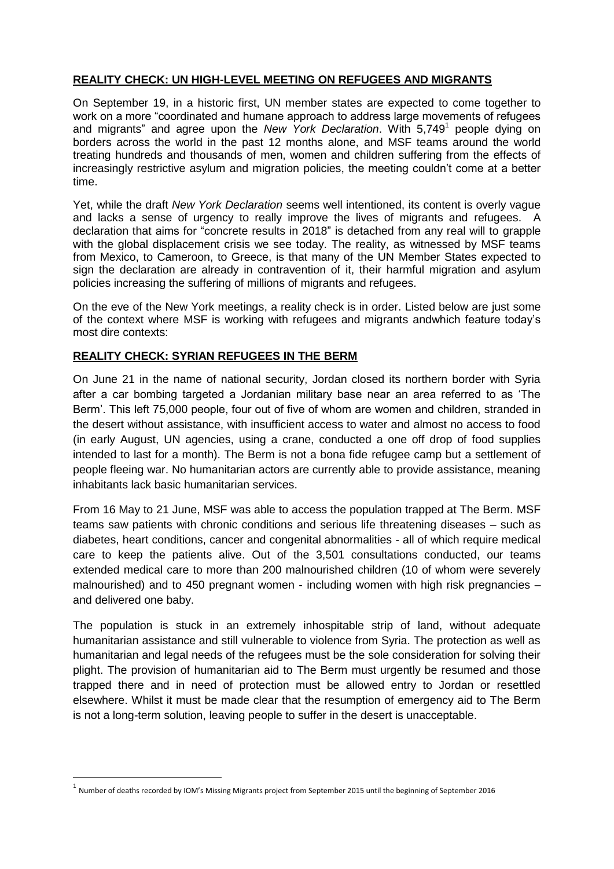# **REALITY CHECK: UN HIGH-LEVEL MEETING ON REFUGEES AND MIGRANTS**

On September 19, in a historic first, UN member states are expected to come together to work on a more "coordinated and humane approach to address large movements of refugees and migrants" and agree upon the *New York Declaration*. With 5,749<sup>1</sup> people dying on borders across the world in the past 12 months alone, and MSF teams around the world treating hundreds and thousands of men, women and children suffering from the effects of increasingly restrictive asylum and migration policies, the meeting couldn't come at a better time.

Yet, while the draft *New York Declaration* seems well intentioned, its content is overly vague and lacks a sense of urgency to really improve the lives of migrants and refugees. A declaration that aims for "concrete results in 2018" is detached from any real will to grapple with the global displacement crisis we see today. The reality, as witnessed by MSF teams from Mexico, to Cameroon, to Greece, is that many of the UN Member States expected to sign the declaration are already in contravention of it, their harmful migration and asylum policies increasing the suffering of millions of migrants and refugees.

On the eve of the New York meetings, a reality check is in order. Listed below are just some of the context where MSF is working with refugees and migrants andwhich feature today's most dire contexts:

### **REALITY CHECK: SYRIAN REFUGEES IN THE BERM**

On June 21 in the name of national security, Jordan closed its northern border with Syria after a car bombing targeted a Jordanian military base near an area referred to as 'The Berm'. This left 75,000 people, four out of five of whom are women and children, stranded in the desert without assistance, with insufficient access to water and almost no access to food (in early August, UN agencies, using a crane, conducted a one off drop of food supplies intended to last for a month). The Berm is not a bona fide refugee camp but a settlement of people fleeing war. No humanitarian actors are currently able to provide assistance, meaning inhabitants lack basic humanitarian services.

From 16 May to 21 June, MSF was able to access the population trapped at The Berm. MSF teams saw patients with chronic conditions and serious life threatening diseases – such as diabetes, heart conditions, cancer and congenital abnormalities - all of which require medical care to keep the patients alive. Out of the 3,501 consultations conducted, our teams extended medical care to more than 200 malnourished children (10 of whom were severely malnourished) and to 450 pregnant women - including women with high risk pregnancies – and delivered one baby.

The population is stuck in an extremely inhospitable strip of land, without adequate humanitarian assistance and still vulnerable to violence from Syria. The protection as well as humanitarian and legal needs of the refugees must be the sole consideration for solving their plight. The provision of humanitarian aid to The Berm must urgently be resumed and those trapped there and in need of protection must be allowed entry to Jordan or resettled elsewhere. Whilst it must be made clear that the resumption of emergency aid to The Berm is not a long-term solution, leaving people to suffer in the desert is unacceptable.

**.** 

 $^{\rm 1}$  Number of deaths recorded by IOM's Missing Migrants project from September 2015 until the beginning of September 2016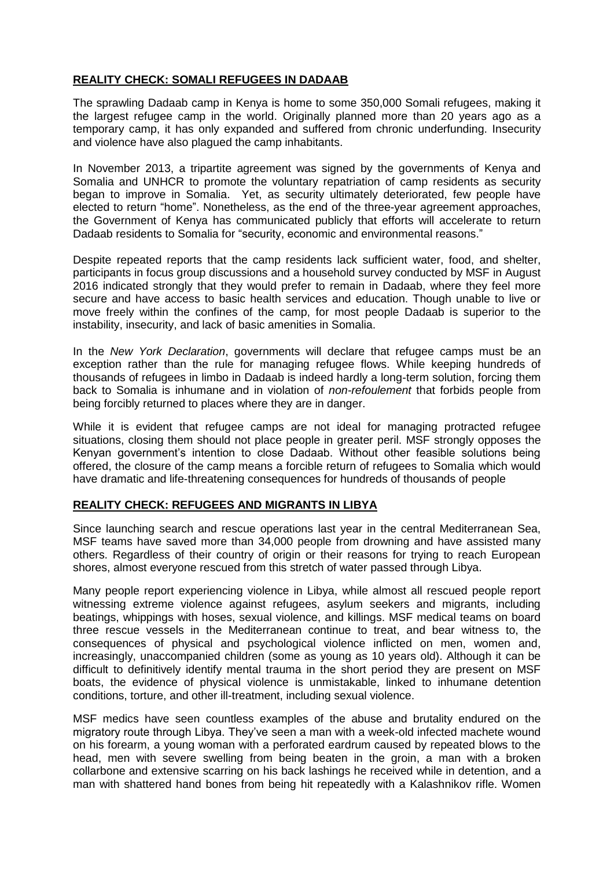## **REALITY CHECK: SOMALI REFUGEES IN DADAAB**

The sprawling Dadaab camp in Kenya is home to some 350,000 Somali refugees, making it the largest refugee camp in the world. Originally planned more than 20 years ago as a temporary camp, it has only expanded and suffered from chronic underfunding. Insecurity and violence have also plagued the camp inhabitants.

In November 2013, a tripartite agreement was signed by the governments of Kenya and Somalia and UNHCR to promote the voluntary repatriation of camp residents as security began to improve in Somalia. Yet, as security ultimately deteriorated, few people have elected to return "home". Nonetheless, as the end of the three-year agreement approaches, the Government of Kenya has communicated publicly that efforts will accelerate to return Dadaab residents to Somalia for "security, economic and environmental reasons."

Despite repeated reports that the camp residents lack sufficient water, food, and shelter, participants in focus group discussions and a household survey conducted by MSF in August 2016 indicated strongly that they would prefer to remain in Dadaab, where they feel more secure and have access to basic health services and education. Though unable to live or move freely within the confines of the camp, for most people Dadaab is superior to the instability, insecurity, and lack of basic amenities in Somalia.

In the *New York Declaration*, governments will declare that refugee camps must be an exception rather than the rule for managing refugee flows. While keeping hundreds of thousands of refugees in limbo in Dadaab is indeed hardly a long-term solution, forcing them back to Somalia is inhumane and in violation of *non-refoulement* that forbids people from being forcibly returned to places where they are in danger.

While it is evident that refugee camps are not ideal for managing protracted refugee situations, closing them should not place people in greater peril. MSF strongly opposes the Kenyan government's intention to close Dadaab. Without other feasible solutions being offered, the closure of the camp means a forcible return of refugees to Somalia which would have dramatic and life-threatening consequences for hundreds of thousands of people

### **REALITY CHECK: REFUGEES AND MIGRANTS IN LIBYA**

Since launching search and rescue operations last year in the central Mediterranean Sea, MSF teams have saved more than 34,000 people from drowning and have assisted many others. Regardless of their country of origin or their reasons for trying to reach European shores, almost everyone rescued from this stretch of water passed through Libya.

Many people report experiencing violence in Libya, while almost all rescued people report witnessing extreme violence against refugees, asylum seekers and migrants, including beatings, whippings with hoses, sexual violence, and killings. MSF medical teams on board three rescue vessels in the Mediterranean continue to treat, and bear witness to, the consequences of physical and psychological violence inflicted on men, women and, increasingly, unaccompanied children (some as young as 10 years old). Although it can be difficult to definitively identify mental trauma in the short period they are present on MSF boats, the evidence of physical violence is unmistakable, linked to inhumane detention conditions, torture, and other ill-treatment, including sexual violence.

MSF medics have seen countless examples of the abuse and brutality endured on the migratory route through Libya. They've seen a man with a week-old infected machete wound on his forearm, a young woman with a perforated eardrum caused by repeated blows to the head, men with severe swelling from being beaten in the groin, a man with a broken collarbone and extensive scarring on his back lashings he received while in detention, and a man with shattered hand bones from being hit repeatedly with a Kalashnikov rifle. Women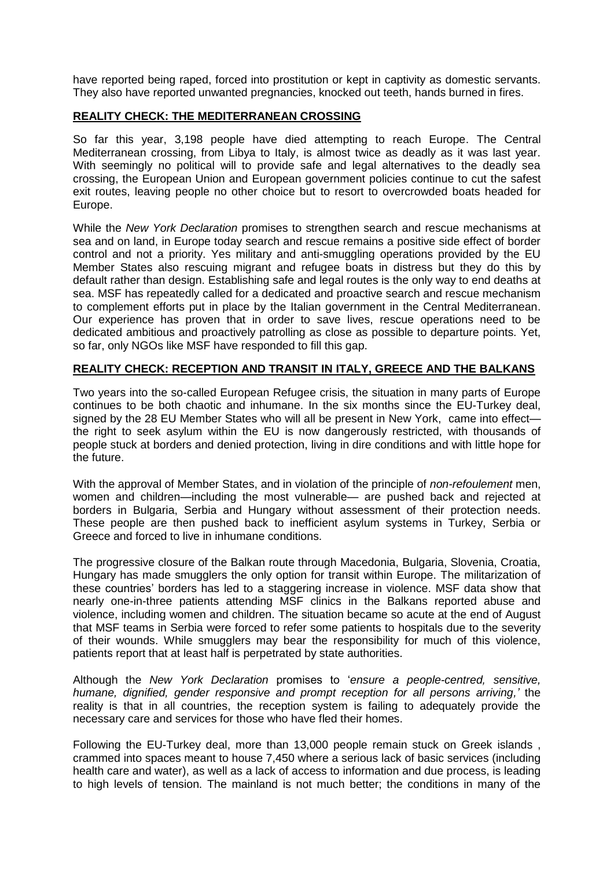have reported being raped, forced into prostitution or kept in captivity as domestic servants. They also have reported unwanted pregnancies, knocked out teeth, hands burned in fires.

### **REALITY CHECK: THE MEDITERRANEAN CROSSING**

So far this year, 3,198 people have died attempting to reach Europe. The Central Mediterranean crossing, from Libya to Italy, is almost twice as deadly as it was last year. With seemingly no political will to provide safe and legal alternatives to the deadly sea crossing, the European Union and European government policies continue to cut the safest exit routes, leaving people no other choice but to resort to overcrowded boats headed for Europe.

While the *New York Declaration* promises to strengthen search and rescue mechanisms at sea and on land, in Europe today search and rescue remains a positive side effect of border control and not a priority. Yes military and anti-smuggling operations provided by the EU Member States also rescuing migrant and refugee boats in distress but they do this by default rather than design. Establishing safe and legal routes is the only way to end deaths at sea. MSF has repeatedly called for a dedicated and proactive search and rescue mechanism to complement efforts put in place by the Italian government in the Central Mediterranean. Our experience has proven that in order to save lives, rescue operations need to be dedicated ambitious and proactively patrolling as close as possible to departure points. Yet, so far, only NGOs like MSF have responded to fill this gap.

### **REALITY CHECK: RECEPTION AND TRANSIT IN ITALY, GREECE AND THE BALKANS**

Two years into the so-called European Refugee crisis, the situation in many parts of Europe continues to be both chaotic and inhumane. In the six months since the EU-Turkey deal, signed by the 28 EU Member States who will all be present in New York, came into effect the right to seek asylum within the EU is now dangerously restricted, with thousands of people stuck at borders and denied protection, living in dire conditions and with little hope for the future.

With the approval of Member States, and in violation of the principle of *non-refoulement* men, women and children—including the most vulnerable— are pushed back and rejected at borders in Bulgaria, Serbia and Hungary without assessment of their protection needs. These people are then pushed back to inefficient asylum systems in Turkey, Serbia or Greece and forced to live in inhumane conditions.

The progressive closure of the Balkan route through Macedonia, Bulgaria, Slovenia, Croatia, Hungary has made smugglers the only option for transit within Europe. The militarization of these countries' borders has led to a staggering increase in violence. MSF data show that nearly one-in-three patients attending MSF clinics in the Balkans reported abuse and violence, including women and children. The situation became so acute at the end of August that MSF teams in Serbia were forced to refer some patients to hospitals due to the severity of their wounds. While smugglers may bear the responsibility for much of this violence, patients report that at least half is perpetrated by state authorities.

Although the *New York Declaration* promises to '*ensure a people-centred, sensitive, humane, dignified, gender responsive and prompt reception for all persons arriving,'* the reality is that in all countries, the reception system is failing to adequately provide the necessary care and services for those who have fled their homes.

Following the EU-Turkey deal, more than 13,000 people remain stuck on Greek islands , crammed into spaces meant to house 7,450 where a serious lack of basic services (including health care and water), as well as a lack of access to information and due process, is leading to high levels of tension. The mainland is not much better; the conditions in many of the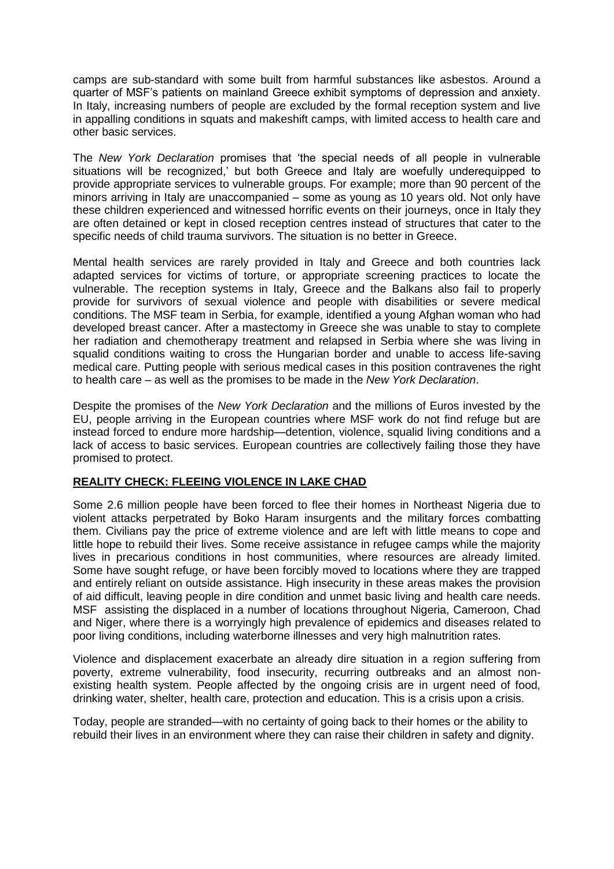camps are sub-standard with some built from harmful substances like asbestos. Around a quarter of MSF's patients on mainland Greece exhibit symptoms of depression and anxiety. In Italy, increasing numbers of people are excluded by the formal reception system and live in appalling conditions in squats and makeshift camps, with limited access to health care and other basic services.

The *New York Declaration* promises that 'the special needs of all people in vulnerable situations will be recognized,' but both Greece and Italy are woefully underequipped to provide appropriate services to vulnerable groups. For example; more than 90 percent of the minors arriving in Italy are unaccompanied – some as young as 10 years old. Not only have these children experienced and witnessed horrific events on their journeys, once in Italy they are often detained or kept in closed reception centres instead of structures that cater to the specific needs of child trauma survivors. The situation is no better in Greece.

Mental health services are rarely provided in Italy and Greece and both countries lack adapted services for victims of torture, or appropriate screening practices to locate the vulnerable. The reception systems in Italy, Greece and the Balkans also fail to properly provide for survivors of sexual violence and people with disabilities or severe medical conditions. The MSF team in Serbia, for example, identified a young Afghan woman who had developed breast cancer. After a mastectomy in Greece she was unable to stay to complete her radiation and chemotherapy treatment and relapsed in Serbia where she was living in squalid conditions waiting to cross the Hungarian border and unable to access life-saving medical care. Putting people with serious medical cases in this position contravenes the right to health care – as well as the promises to be made in the *New York Declaration*.

Despite the promises of the *New York Declaration* and the millions of Euros invested by the EU, people arriving in the European countries where MSF work do not find refuge but are instead forced to endure more hardship—detention, violence, squalid living conditions and a lack of access to basic services. European countries are collectively failing those they have promised to protect.

### **REALITY CHECK: FLEEING VIOLENCE IN LAKE CHAD**

Some 2.6 million people have been forced to flee their homes in Northeast Nigeria due to violent attacks perpetrated by Boko Haram insurgents and the military forces combatting them. Civilians pay the price of extreme violence and are left with little means to cope and little hope to rebuild their lives. Some receive assistance in refugee camps while the majority lives in precarious conditions in host communities, where resources are already limited. Some have sought refuge, or have been forcibly moved to locations where they are trapped and entirely reliant on outside assistance. High insecurity in these areas makes the provision of aid difficult, leaving people in dire condition and unmet basic living and health care needs. MSF assisting the displaced in a number of locations throughout Nigeria, Cameroon, Chad and Niger, where there is a worryingly high prevalence of epidemics and diseases related to poor living conditions, including waterborne illnesses and very high malnutrition rates.

Violence and displacement exacerbate an already dire situation in a region suffering from poverty, extreme vulnerability, food insecurity, recurring outbreaks and an almost nonexisting health system. People affected by the ongoing crisis are in urgent need of food, drinking water, shelter, health care, protection and education. This is a crisis upon a crisis.

Today, people are stranded—with no certainty of going back to their homes or the ability to rebuild their lives in an environment where they can raise their children in safety and dignity.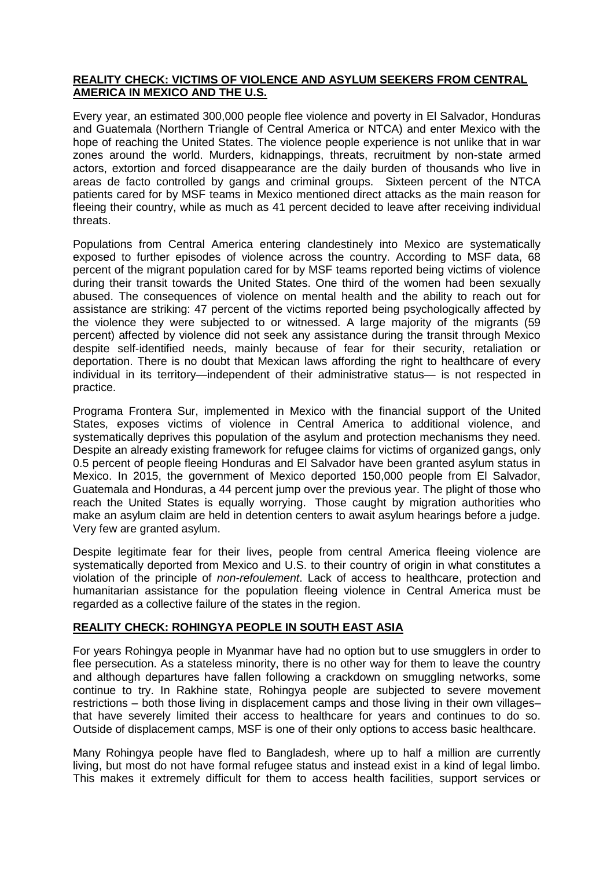### **REALITY CHECK: VICTIMS OF VIOLENCE AND ASYLUM SEEKERS FROM CENTRAL AMERICA IN MEXICO AND THE U.S.**

Every year, an estimated 300,000 people flee violence and poverty in El Salvador, Honduras and Guatemala (Northern Triangle of Central America or NTCA) and enter Mexico with the hope of reaching the United States. The violence people experience is not unlike that in war zones around the world. Murders, kidnappings, threats, recruitment by non-state armed actors, extortion and forced disappearance are the daily burden of thousands who live in areas de facto controlled by gangs and criminal groups. Sixteen percent of the NTCA patients cared for by MSF teams in Mexico mentioned direct attacks as the main reason for fleeing their country, while as much as 41 percent decided to leave after receiving individual threats.

Populations from Central America entering clandestinely into Mexico are systematically exposed to further episodes of violence across the country. According to MSF data, 68 percent of the migrant population cared for by MSF teams reported being victims of violence during their transit towards the United States. One third of the women had been sexually abused. The consequences of violence on mental health and the ability to reach out for assistance are striking: 47 percent of the victims reported being psychologically affected by the violence they were subjected to or witnessed. A large majority of the migrants (59 percent) affected by violence did not seek any assistance during the transit through Mexico despite self-identified needs, mainly because of fear for their security, retaliation or deportation. There is no doubt that Mexican laws affording the right to healthcare of every individual in its territory—independent of their administrative status— is not respected in practice.

Programa Frontera Sur, implemented in Mexico with the financial support of the United States, exposes victims of violence in Central America to additional violence, and systematically deprives this population of the asylum and protection mechanisms they need. Despite an already existing framework for refugee claims for victims of organized gangs, only 0.5 percent of people fleeing Honduras and El Salvador have been granted asylum status in Mexico. In 2015, the government of Mexico deported 150,000 people from El Salvador, Guatemala and Honduras, a 44 percent jump over the previous year. The plight of those who reach the United States is equally worrying. Those caught by migration authorities who make an asylum claim are held in detention centers to await asylum hearings before a judge. Very few are granted asylum.

Despite legitimate fear for their lives, people from central America fleeing violence are systematically deported from Mexico and U.S. to their country of origin in what constitutes a violation of the principle of *non-refoulement*. Lack of access to healthcare, protection and humanitarian assistance for the population fleeing violence in Central America must be regarded as a collective failure of the states in the region.

### **REALITY CHECK: ROHINGYA PEOPLE IN SOUTH EAST ASIA**

For years Rohingya people in Myanmar have had no option but to use smugglers in order to flee persecution. As a stateless minority, there is no other way for them to leave the country and although departures have fallen following a crackdown on smuggling networks, some continue to try. In Rakhine state, Rohingya people are subjected to severe movement restrictions – both those living in displacement camps and those living in their own villages– that have severely limited their access to healthcare for years and continues to do so. Outside of displacement camps, MSF is one of their only options to access basic healthcare.

Many Rohingya people have fled to Bangladesh, where up to half a million are currently living, but most do not have formal refugee status and instead exist in a kind of legal limbo. This makes it extremely difficult for them to access health facilities, support services or